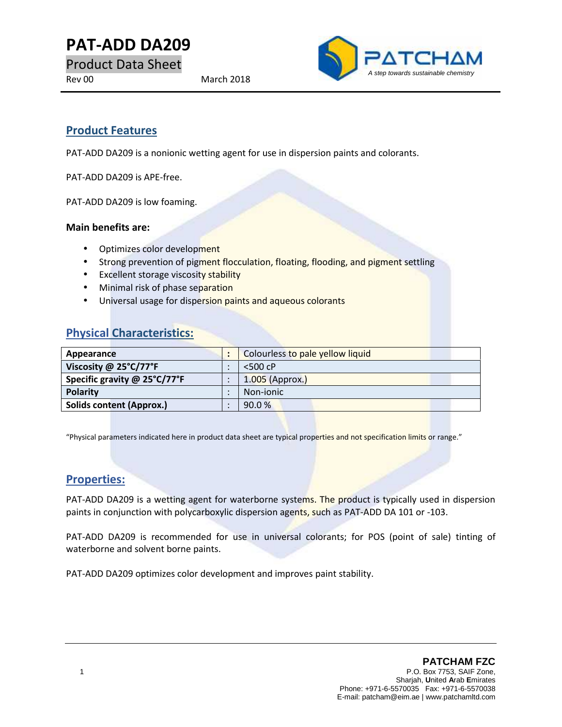**PAT-ADD DA209**

Product Data Sheet



# **Product Features**

PAT-ADD DA209 is a nonionic wetting agent for use in dispersion paints and colorants.

PAT-ADD DA209 is APE-free.

PAT-ADD DA209 is low foaming.

#### **Main benefits are:**

- Optimizes color development
- Strong prevention of pigment flocculation, floating, flooding, and pigment settling
- **Excellent storage viscosity stability**
- Minimal risk of phase separation
- Universal usage for dispersion paints and aqueous colorants

# **Physical Characteristics:**

| Appearance                      |  | Colourless to pale yellow liquid |
|---------------------------------|--|----------------------------------|
| Viscosity @ 25°C/77°F           |  | $<$ 500 cP                       |
| Specific gravity @ 25°C/77°F    |  | $1.005$ (Approx.)                |
| <b>Polarity</b>                 |  | Non-jonic                        |
| <b>Solids content (Approx.)</b> |  | 90.0%                            |

"Physical parameters indicated here in product data sheet are typical properties and not specification limits or range."

### **Properties:**

PAT-ADD DA209 is a wetting agent for waterborne systems. The product is typically used in dispersion paints in conjunction with polycarboxylic dispersion agents, such as PAT-ADD DA 101 or -103.

PAT-ADD DA209 is recommended for use in universal colorants; for POS (point of sale) tinting of waterborne and solvent borne paints.

PAT-ADD DA209 optimizes color development and improves paint stability.